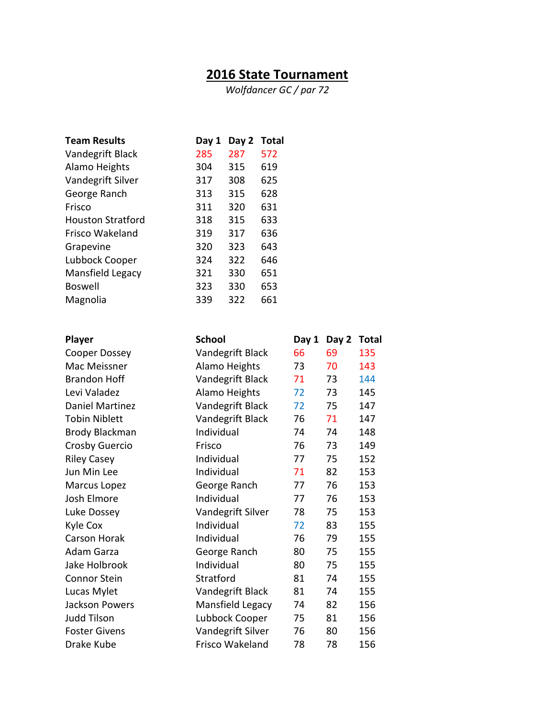## **2016 State Tournament**

*Wolfdancer GC / par 72*

| <b>Team Results</b>      | Day 1 | Day 2 | <b>Total</b> |
|--------------------------|-------|-------|--------------|
| Vandegrift Black         | 285   | 287   | 572          |
| Alamo Heights            | 304   | 315   | 619          |
| Vandegrift Silver        | 317   | 308   | 625          |
| George Ranch             | 313   | 315   | 628          |
| Frisco                   | 311   | 320   | 631          |
| <b>Houston Stratford</b> | 318   | 315   | 633          |
| Frisco Wakeland          | 319   | 317   | 636          |
| Grapevine                | 320   | 323   | 643          |
| Lubbock Cooper           | 324   | 322   | 646          |
| Mansfield Legacy         | 321   | 330   | 651          |
| <b>Boswell</b>           | 323   | 330   | 653          |
| Magnolia                 | 339   | 322   | 661          |

| Player                 | <b>School</b>     | Day 1 | Day 2 | <b>Total</b> |
|------------------------|-------------------|-------|-------|--------------|
| Cooper Dossey          | Vandegrift Black  | 66    | 69    | 135          |
| Mac Meissner           | Alamo Heights     | 73    | 70    | 143          |
| <b>Brandon Hoff</b>    | Vandegrift Black  | 71    | 73    | 144          |
| Levi Valadez           | Alamo Heights     | 72    | 73    | 145          |
| <b>Daniel Martinez</b> | Vandegrift Black  | 72    | 75    | 147          |
| <b>Tobin Niblett</b>   | Vandegrift Black  | 76    | 71    | 147          |
| <b>Brody Blackman</b>  | Individual        | 74    | 74    | 148          |
| <b>Crosby Guercio</b>  | Frisco            | 76    | 73    | 149          |
| <b>Riley Casey</b>     | Individual        | 77    | 75    | 152          |
| Jun Min Lee            | Individual        | 71    | 82    | 153          |
| Marcus Lopez           | George Ranch      | 77    | 76    | 153          |
| Josh Elmore            | Individual        | 77    | 76    | 153          |
| Luke Dossey            | Vandegrift Silver | 78    | 75    | 153          |
| Kyle Cox               | Individual        | 72    | 83    | 155          |
| <b>Carson Horak</b>    | Individual        | 76    | 79    | 155          |
| Adam Garza             | George Ranch      | 80    | 75    | 155          |
| Jake Holbrook          | Individual        | 80    | 75    | 155          |
| <b>Connor Stein</b>    | Stratford         | 81    | 74    | 155          |
| Lucas Mylet            | Vandegrift Black  | 81    | 74    | 155          |
| <b>Jackson Powers</b>  | Mansfield Legacy  | 74    | 82    | 156          |
| <b>Judd Tilson</b>     | Lubbock Cooper    | 75    | 81    | 156          |
| <b>Foster Givens</b>   | Vandegrift Silver | 76    | 80    | 156          |
| Drake Kube             | Frisco Wakeland   | 78    | 78    | 156          |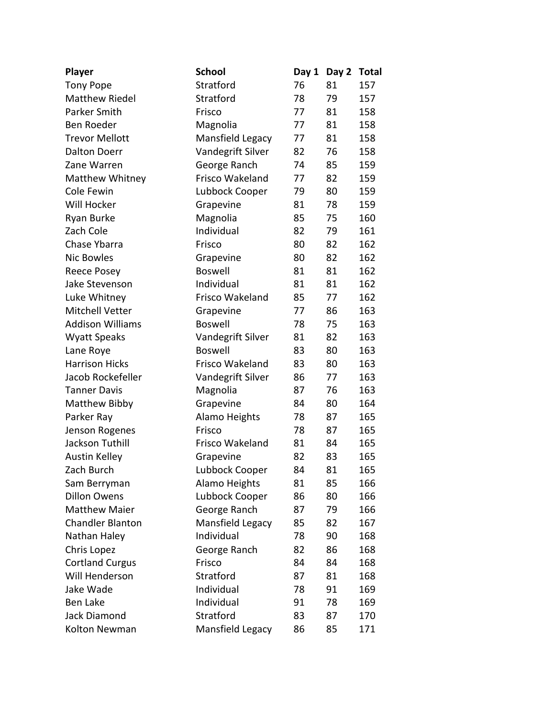| <b>Player</b>           | <b>School</b>     | Day 1 | Day 2 | <b>Total</b> |
|-------------------------|-------------------|-------|-------|--------------|
| <b>Tony Pope</b>        | Stratford         | 76    | 81    | 157          |
| <b>Matthew Riedel</b>   | Stratford         | 78    | 79    | 157          |
| Parker Smith            | Frisco            | 77    | 81    | 158          |
| Ben Roeder              | Magnolia          | 77    | 81    | 158          |
| <b>Trevor Mellott</b>   | Mansfield Legacy  | 77    | 81    | 158          |
| <b>Dalton Doerr</b>     | Vandegrift Silver | 82    | 76    | 158          |
| Zane Warren             | George Ranch      | 74    | 85    | 159          |
| <b>Matthew Whitney</b>  | Frisco Wakeland   | 77    | 82    | 159          |
| Cole Fewin              | Lubbock Cooper    | 79    | 80    | 159          |
| Will Hocker             | Grapevine         | 81    | 78    | 159          |
| Ryan Burke              | Magnolia          | 85    | 75    | 160          |
| Zach Cole               | Individual        | 82    | 79    | 161          |
| Chase Ybarra            | Frisco            | 80    | 82    | 162          |
| <b>Nic Bowles</b>       | Grapevine         | 80    | 82    | 162          |
| Reece Posey             | <b>Boswell</b>    | 81    | 81    | 162          |
| Jake Stevenson          | Individual        | 81    | 81    | 162          |
| Luke Whitney            | Frisco Wakeland   | 85    | 77    | 162          |
| <b>Mitchell Vetter</b>  | Grapevine         | 77    | 86    | 163          |
| <b>Addison Williams</b> | <b>Boswell</b>    | 78    | 75    | 163          |
| <b>Wyatt Speaks</b>     | Vandegrift Silver | 81    | 82    | 163          |
| Lane Roye               | <b>Boswell</b>    | 83    | 80    | 163          |
| <b>Harrison Hicks</b>   | Frisco Wakeland   | 83    | 80    | 163          |
| Jacob Rockefeller       | Vandegrift Silver | 86    | 77    | 163          |
| <b>Tanner Davis</b>     | Magnolia          | 87    | 76    | 163          |
| Matthew Bibby           | Grapevine         | 84    | 80    | 164          |
| Parker Ray              | Alamo Heights     | 78    | 87    | 165          |
| Jenson Rogenes          | Frisco            | 78    | 87    | 165          |
| Jackson Tuthill         | Frisco Wakeland   | 81    | 84    | 165          |
| Austin Kelley           | Grapevine         | 82    | 83    | 165          |
| Zach Burch              | Lubbock Cooper    | 84    | 81    | 165          |
| Sam Berryman            | Alamo Heights     | 81    | 85    | 166          |
| <b>Dillon Owens</b>     | Lubbock Cooper    | 86    | 80    | 166          |
| <b>Matthew Maier</b>    | George Ranch      | 87    | 79    | 166          |
| <b>Chandler Blanton</b> | Mansfield Legacy  | 85    | 82    | 167          |
| Nathan Haley            | Individual        | 78    | 90    | 168          |
| Chris Lopez             | George Ranch      | 82    | 86    | 168          |
| <b>Cortland Curgus</b>  | Frisco            | 84    | 84    | 168          |
| Will Henderson          | Stratford         | 87    | 81    | 168          |
| Jake Wade               | Individual        | 78    | 91    | 169          |
| <b>Ben Lake</b>         | Individual        | 91    | 78    | 169          |
| Jack Diamond            | Stratford         | 83    | 87    | 170          |
| Kolton Newman           | Mansfield Legacy  | 86    | 85    | 171          |